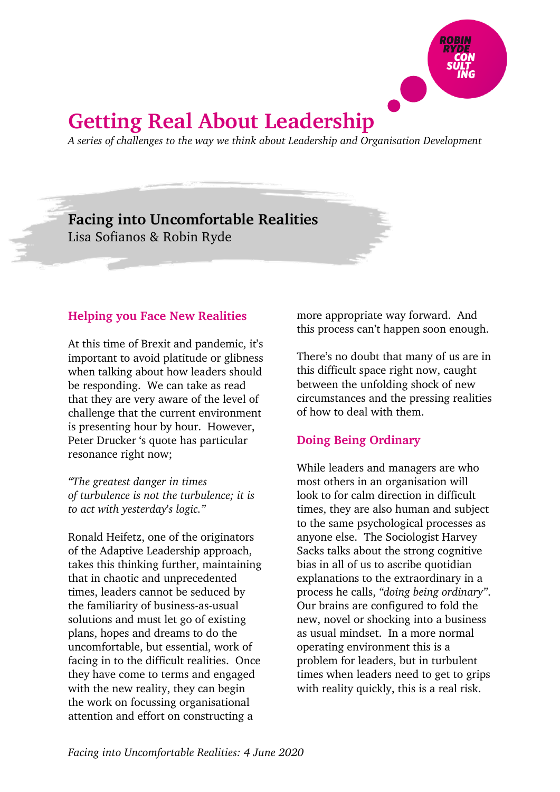

# **Getting Real About Leadership**

*A series of challenges to the way we think about Leadership and Organisation Development*

## **Facing into Uncomfortable Realities**

Lisa Sofianos & Robin Ryde

### **Helping you Face New Realities**

At this time of Brexit and pandemic, it's important to avoid platitude or glibness when talking about how leaders should be responding. We can take as read that they are very aware of the level of challenge that the current environment is presenting hour by hour. However, Peter Drucker 's quote has particular resonance right now;

*"The greatest danger in times of turbulence is not the turbulence; it is to act with yesterday's logic."*

Ronald Heifetz, one of the originators of the Adaptive Leadership approach, takes this thinking further, maintaining that in chaotic and unprecedented times, leaders cannot be seduced by the familiarity of business-as-usual solutions and must let go of existing plans, hopes and dreams to do the uncomfortable, but essential, work of facing in to the difficult realities. Once they have come to terms and engaged with the new reality, they can begin the work on focussing organisational attention and effort on constructing a

more appropriate way forward. And this process can't happen soon enough.

There's no doubt that many of us are in this difficult space right now, caught between the unfolding shock of new circumstances and the pressing realities of how to deal with them.

### **Doing Being Ordinary**

While leaders and managers are who most others in an organisation will look to for calm direction in difficult times, they are also human and subject to the same psychological processes as anyone else. The Sociologist Harvey Sacks talks about the strong cognitive bias in all of us to ascribe quotidian explanations to the extraordinary in a process he calls, *"doing being ordinary"*. Our brains are configured to fold the new, novel or shocking into a business as usual mindset. In a more normal operating environment this is a problem for leaders, but in turbulent times when leaders need to get to grips with reality quickly, this is a real risk.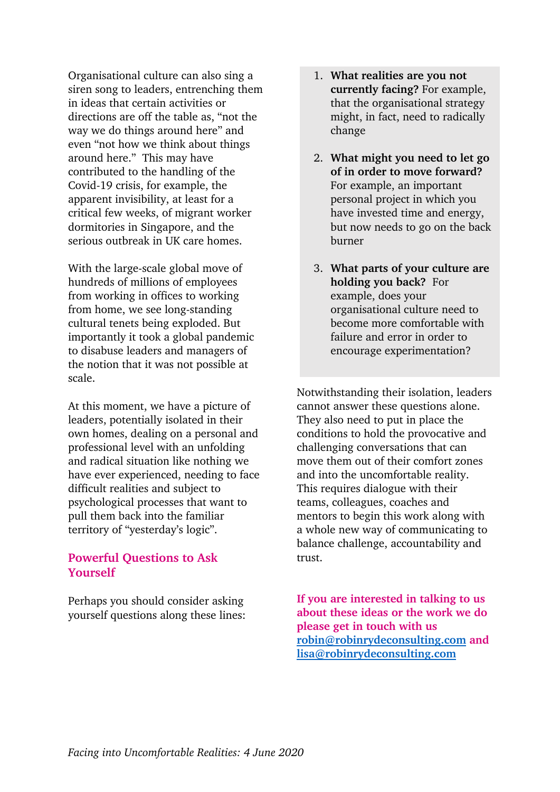Organisational culture can also sing a siren song to leaders, entrenching them in ideas that certain activities or directions are off the table as, "not the way we do things around here" and even "not how we think about things around here." This may have contributed to the handling of the Covid-19 crisis, for example, the apparent invisibility, at least for a critical few weeks, of migrant worker dormitories in Singapore, and the serious outbreak in UK care homes.

With the large-scale global move of hundreds of millions of employees from working in offices to working from home, we see long-standing cultural tenets being exploded. But importantly it took a global pandemic to disabuse leaders and managers of the notion that it was not possible at scale.

At this moment, we have a picture of leaders, potentially isolated in their own homes, dealing on a personal and professional level with an unfolding and radical situation like nothing we have ever experienced, needing to face difficult realities and subject to psychological processes that want to pull them back into the familiar territory of "yesterday's logic".

#### **Powerful Questions to Ask Yourself**

Perhaps you should consider asking yourself questions along these lines:

- 1. **What realities are you not currently facing?** For example, that the organisational strategy might, in fact, need to radically change
- 2. **What might you need to let go of in order to move forward?** For example, an important personal project in which you have invested time and energy, but now needs to go on the back burner
- 3. **What parts of your culture are holding you back?** For example, does your organisational culture need to become more comfortable with failure and error in order to encourage experimentation?

Notwithstanding their isolation, leaders cannot answer these questions alone. They also need to put in place the conditions to hold the provocative and challenging conversations that can move them out of their comfort zones and into the uncomfortable reality. This requires dialogue with their teams, colleagues, coaches and mentors to begin this work along with a whole new way of communicating to balance challenge, accountability and trust.

**If you are interested in talking to us about these ideas or the work we do please get in touch with us robin@robinrydeconsulting.com and lisa@robinrydeconsulting.com**